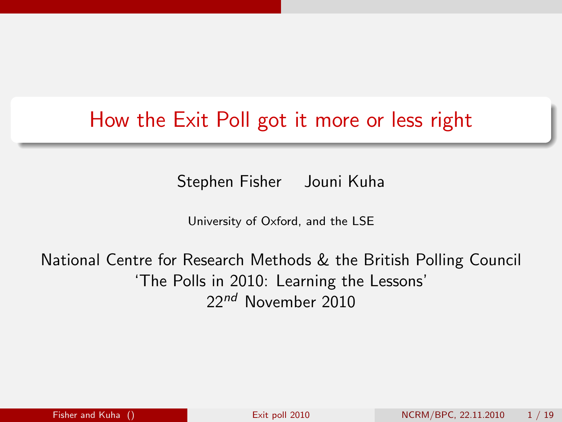## How the Exit Poll got it more or less right

Stephen Fisher Jouni Kuha

<span id="page-0-0"></span>University of Oxford, and the LSE

National Centre for Research Methods & the British Polling Council 'The Polls in 2010: Learning the Lessons' 22<sup>nd</sup> November 2010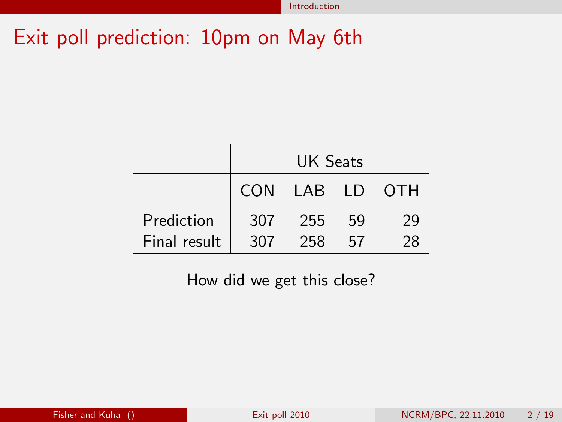## Exit poll prediction: 10pm on May 6th

|              | <b>UK Seats</b> |                |    |    |
|--------------|-----------------|----------------|----|----|
|              |                 | CON LAB LD OTH |    |    |
| Prediction   | 307             | 255            | 59 | 29 |
| Final result | 307             | 258            | 57 | 28 |

How did we get this close?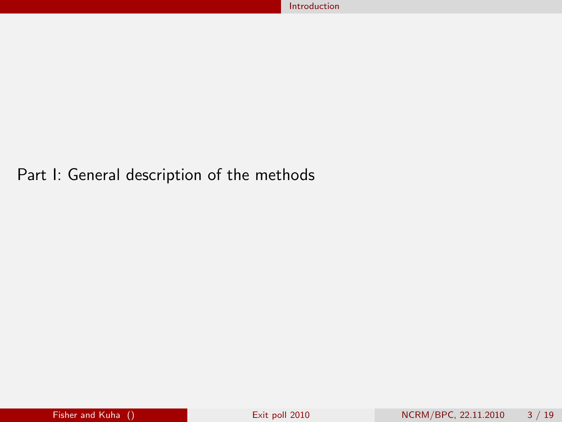#### Part I: General description of the methods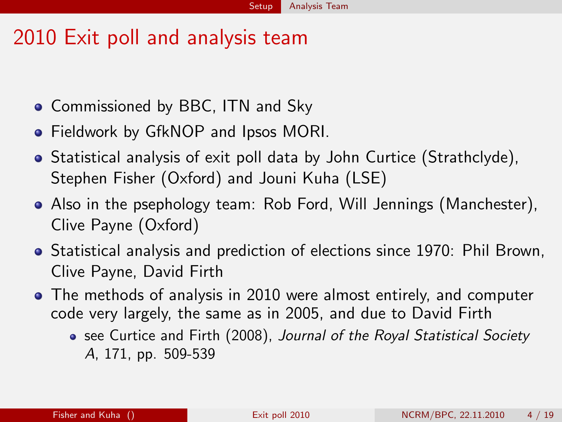#### 2010 Exit poll and analysis team

- Commissioned by BBC, ITN and Sky
- **•** Fieldwork by GfkNOP and Ipsos MORI.
- Statistical analysis of exit poll data by John Curtice (Strathclyde), Stephen Fisher (Oxford) and Jouni Kuha (LSE)
- Also in the psephology team: Rob Ford, Will Jennings (Manchester), Clive Payne (Oxford)
- Statistical analysis and prediction of elections since 1970: Phil Brown, Clive Payne, David Firth
- The methods of analysis in 2010 were almost entirely, and computer code very largely, the same as in 2005, and due to David Firth
	- see Curtice and Firth (2008), Journal of the Royal Statistical Society A, 171, pp. 509-539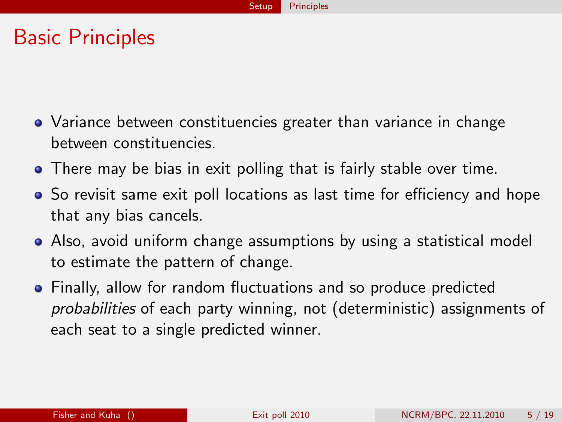#### Basic Principles

- Variance between constituencies greater than variance in change between constituencies.
- There may be bias in exit polling that is fairly stable over time.
- So revisit same exit poll locations as last time for efficiency and hope that any bias cancels.
- Also, avoid uniform change assumptions by using a statistical model to estimate the pattern of change.
- Finally, allow for random fluctuations and so produce predicted probabilities of each party winning, not (deterministic) assignments of each seat to a single predicted winner.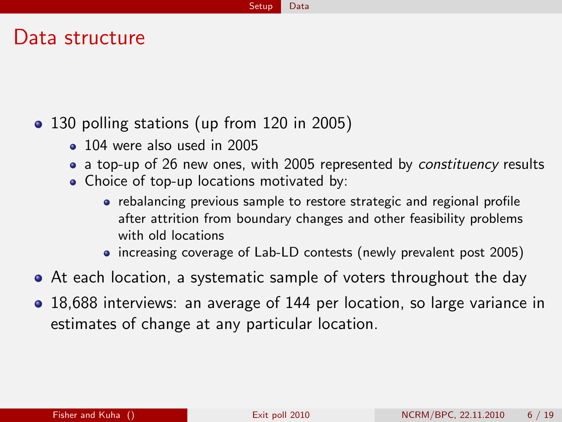#### Data structure

#### • 130 polling stations (up from 120 in 2005)

- <sup>o</sup> 104 were also used in 2005
- a top-up of 26 new ones, with 2005 represented by constituency results
- Choice of top-up locations motivated by:
	- rebalancing previous sample to restore strategic and regional profile after attrition from boundary changes and other feasibility problems with old locations
	- increasing coverage of Lab-LD contests (newly prevalent post 2005)
- At each location, a systematic sample of voters throughout the day
- 18,688 interviews: an average of 144 per location, so large variance in estimates of change at any particular location.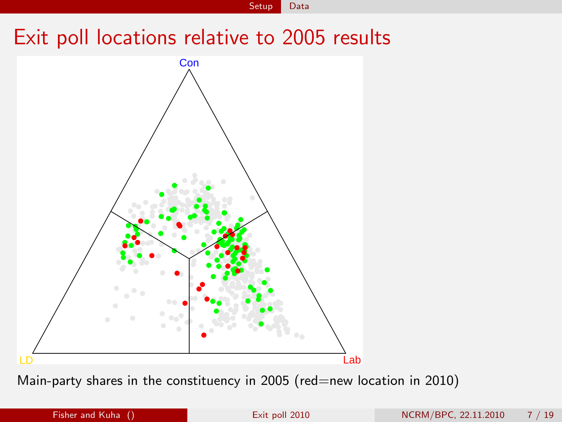Setup Data

#### Exit poll locations relative to 2005 results



Main-party shares in the constituency in 2005 (red=new location in 2010)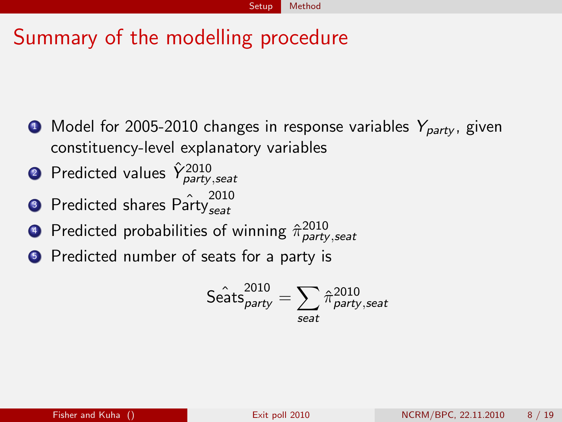# Summary of the modelling procedure

- $\bullet$  Model for 2005-2010 changes in response variables  $Y_{partv}$ , given constituency-level explanatory variables
- $\textbf{2}$  Predicted values  $\hat{Y}^{\text{2010}}_{\text{party, seat}}$
- **3** Predicted shares  $\hat{\text{Par}}_{\text{seat}}^{2010}$ seat
- $\textcolor{black}{\bullet}$  Predicted probabilities of winning  $\hat{\pi}_{\textit{party},\textit{seat}}^{2010}$
- **•** Predicted number of seats for a party is

$$
\hat{\text{Seats}}^{\text{2010}}_{\text{party}} = \sum_{\text{seat}} \hat{\pi}_{\text{party,seat}}^{\text{2010}}
$$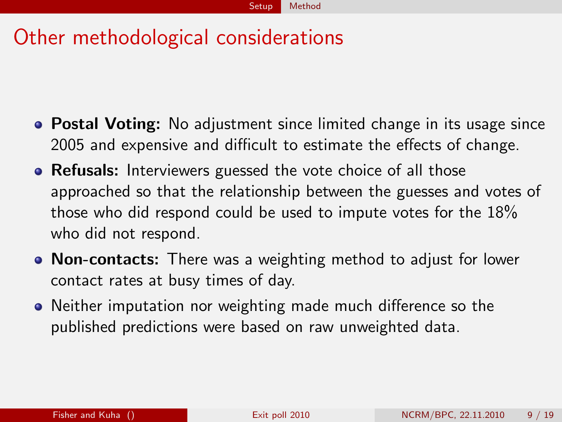# Other methodological considerations

- Postal Voting: No adjustment since limited change in its usage since 2005 and expensive and difficult to estimate the effects of change.
- Refusals: Interviewers guessed the vote choice of all those approached so that the relationship between the guesses and votes of those who did respond could be used to impute votes for the 18% who did not respond.
- Non-contacts: There was a weighting method to adjust for lower contact rates at busy times of day.
- Neither imputation nor weighting made much difference so the published predictions were based on raw unweighted data.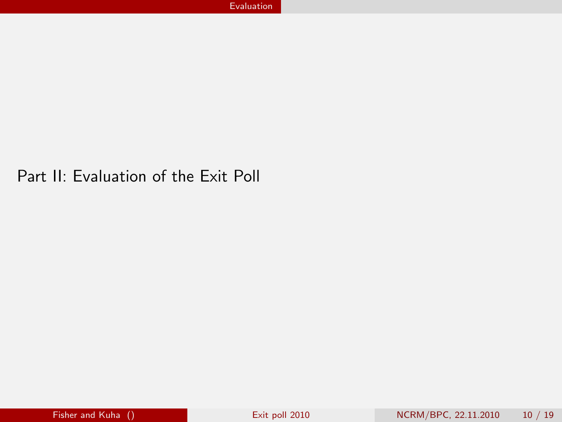#### Part II: Evaluation of the Exit Poll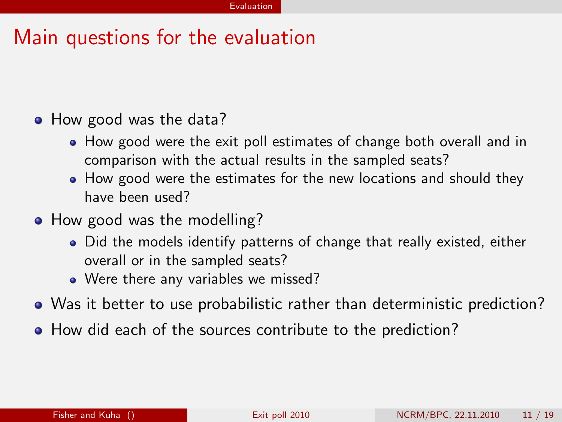## Main questions for the evaluation

#### • How good was the data?

- How good were the exit poll estimates of change both overall and in comparison with the actual results in the sampled seats?
- How good were the estimates for the new locations and should they have been used?
- How good was the modelling?
	- Did the models identify patterns of change that really existed, either overall or in the sampled seats?
	- Were there any variables we missed?
- Was it better to use probabilistic rather than deterministic prediction?
- How did each of the sources contribute to the prediction?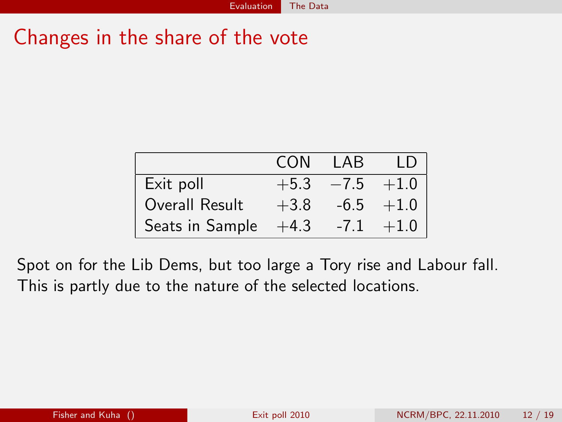## Changes in the share of the vote

|                 | CON    | I AB         | TD.         |
|-----------------|--------|--------------|-------------|
| Exit poll       | $+5.3$ | $-7.5 + 1.0$ |             |
| Overall Result  | $+3.8$ |              | $-6.5 +1.0$ |
| Seats in Sample | $+4.3$ | $-7.1$       | $+1.0$      |

Spot on for the Lib Dems, but too large a Tory rise and Labour fall. This is partly due to the nature of the selected locations.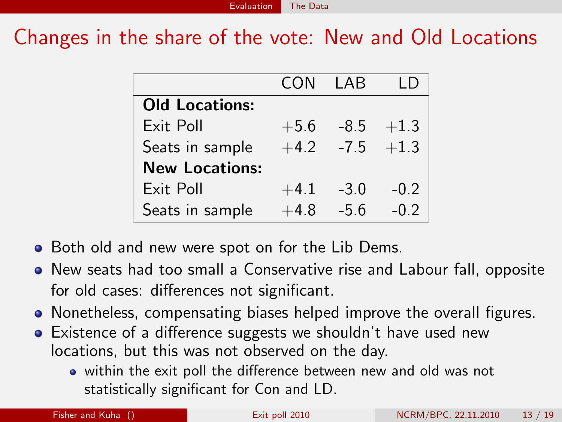Changes in the share of the vote: New and Old Locations

|                       | CON    | I AB          |        |
|-----------------------|--------|---------------|--------|
| <b>Old Locations:</b> |        |               |        |
| Exit Poll             | $+5.6$ | -8.5          | $+1.3$ |
| Seats in sample       | $+4.2$ | $-7.5$ $+1.3$ |        |
| <b>New Locations:</b> |        |               |        |
| Exit Poll             | $+4.1$ | $-3.0$        | $-0.2$ |
| Seats in sample       | $+4.8$ | $-5.6$        | $-0.2$ |

- Both old and new were spot on for the Lib Dems.
- New seats had too small a Conservative rise and Labour fall, opposite for old cases: differences not significant.
- Nonetheless, compensating biases helped improve the overall figures.
- Existence of a difference suggests we shouldn't have used new locations, but this was not observed on the day.
	- within the exit poll the difference between new and old was not statistically significant for Con and LD.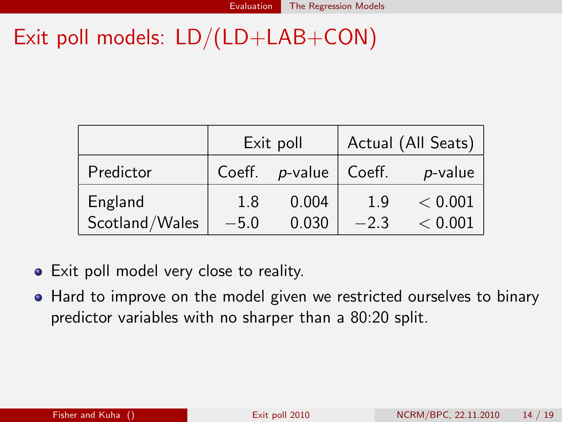# Exit poll models: LD/(LD+LAB+CON)

|                | Exit poll |            |        | Actual (All Seats) |
|----------------|-----------|------------|--------|--------------------|
| Predictor      | Coeff.    | $p$ -value | Coeff. | p-value            |
| England        | 1.8       | 0.004      | 1.9    | < 0.001            |
| Scotland/Wales | $-5.0$    | 0.030      | $-2.3$ | < 0.001            |

- Exit poll model very close to reality.
- Hard to improve on the model given we restricted ourselves to binary predictor variables with no sharper than a 80:20 split.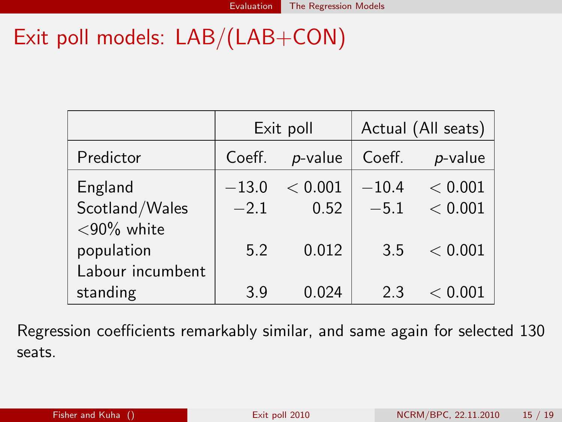# Exit poll models: LAB/(LAB+CON)

|                                 | Exit poll |         | Actual (All seats) |         |  |
|---------------------------------|-----------|---------|--------------------|---------|--|
| Predictor                       | Coeff.    | p-value | Coeff.             | p-value |  |
| England                         | $-13.0$   | < 0.001 | $-10.4$            | < 0.001 |  |
| Scotland/Wales<br>$<$ 90% white | $-2.1$    | 0.52    | $-5.1$             | < 0.001 |  |
| population<br>Labour incumbent  | 5.2       | 0.012   | 3.5                | < 0.001 |  |
| standing                        | 3.9       | 0.024   | 23                 | < 0.001 |  |

Regression coefficients remarkably similar, and same again for selected 130 seats.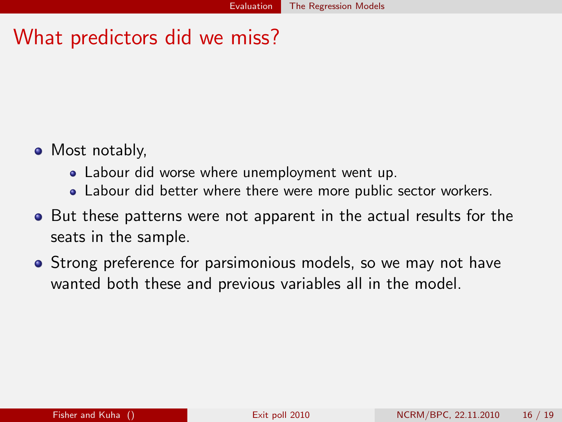## What predictors did we miss?

- Most notably,
	- Labour did worse where unemployment went up.
	- Labour did better where there were more public sector workers.
- **•** But these patterns were not apparent in the actual results for the seats in the sample.
- Strong preference for parsimonious models, so we may not have wanted both these and previous variables all in the model.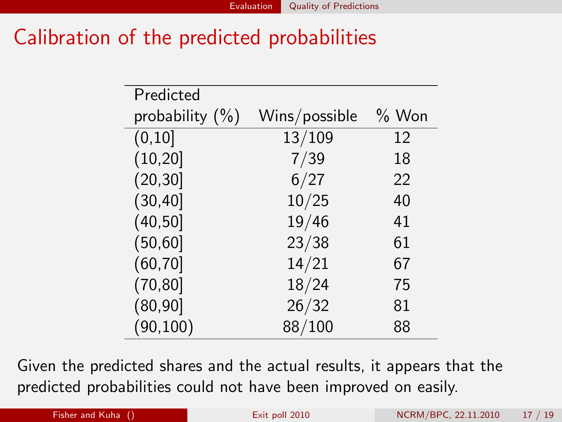## Calibration of the predicted probabilities

| Predicted          |               |         |
|--------------------|---------------|---------|
| probability $(\%)$ | Wins/possible | $%$ Won |
| (0, 10]            | 13/109        | 12      |
| (10, 20]           | 7/39          | 18      |
| (20, 30]           | 6/27          | 22      |
| (30, 40]           | 10/25         | 40      |
| (40, 50]           | 19/46         | 41      |
| (50, 60]           | 23/38         | 61      |
| (60, 70]           | 14/21         | 67      |
| (70, 80]           | 18/24         | 75      |
| (80, 90]           | 26/32         | 81      |
| (90, 100)          | 88/100        | 88      |

Given the predicted shares and the actual results, it appears that the predicted probabilities could not have been improved on easily.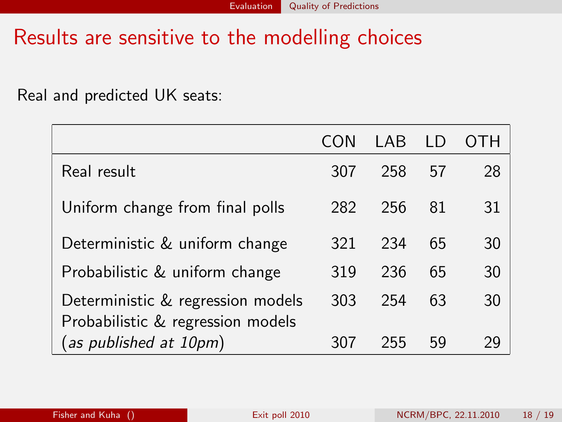#### Results are sensitive to the modelling choices

Real and predicted UK seats:

|                                                                        |     | I AB |    |    |
|------------------------------------------------------------------------|-----|------|----|----|
| Real result                                                            | 307 | 258  | 57 | 28 |
| Uniform change from final polls                                        | 282 | 256  | 81 | 31 |
| Deterministic & uniform change                                         | 321 | 234  | 65 | 30 |
| Probabilistic & uniform change                                         | 319 | 236  | 65 | 30 |
| Deterministic & regression models<br>Probabilistic & regression models | 303 | 254  | 63 | 30 |
| (as published at 10pm)                                                 |     | 255  | 59 |    |